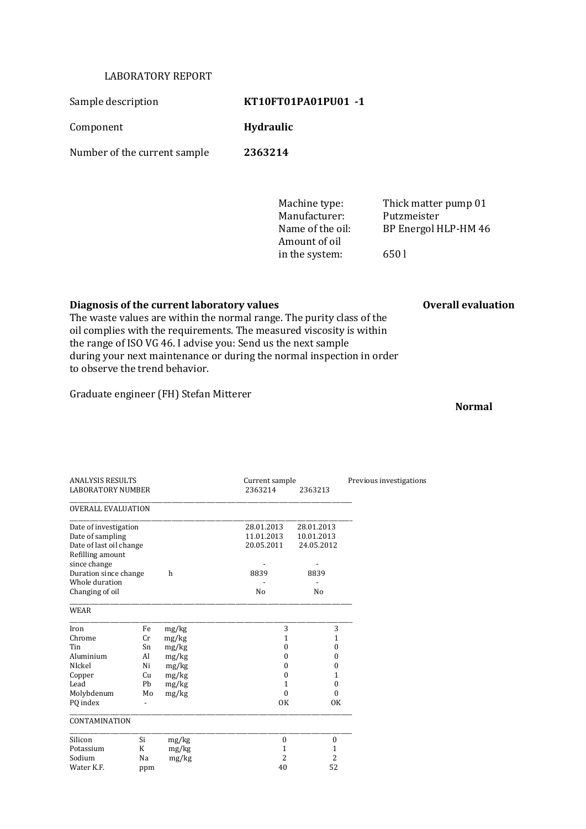## LABORATORY REPORT

Sample description **KT10FT01PA01PU01 -1** 

Component **Hydraulic**

Number of the current sample **2363214**

Manufacturer: Putzmeister Amount of oil in the system: 650 l

Machine type: Thick matter pump 01 Name of the oil: BP Energol HLP-HM 46

## **Diagnosis of the current laboratory values Overall evaluation**

The waste values are within the normal range. The purity class of the oil complies with the requirements. The measured viscosity is within the range of ISO VG 46. I advise you: Send us the next sample during your next maintenance or during the normal inspection in order to observe the trend behavior.

Graduate engineer (FH) Stefan Mitterer

**Normal**

| <b>ANALYSIS RESULTS</b>    |     |       | Current sample   | Previous investigations |  |
|----------------------------|-----|-------|------------------|-------------------------|--|
| <b>LABORATORY NUMBER</b>   |     |       | 2363214          | 2363213                 |  |
| <b>OVERALL EVALUATION</b>  |     |       |                  |                         |  |
| Date of investigation      |     |       | 28.01.2013       | 28.01.2013              |  |
| Date of sampling           |     |       | 11.01.2013       | 10.01.2013              |  |
| Date of last oil change    |     |       | 20.05.2011       | 24.05.2012              |  |
| Refilling amount           |     |       |                  |                         |  |
| since change               |     |       |                  |                         |  |
| Duration since change<br>h |     |       | 8839             | 8839                    |  |
| Whole duration             |     |       |                  |                         |  |
| Changing of oil            |     |       | N <sub>0</sub>   | N <sub>0</sub>          |  |
| <b>WEAR</b>                |     |       |                  |                         |  |
| Iron                       | Fe  | mg/kg | 3                | 3                       |  |
| Chrome                     | Cr  | mg/kg | 1                | 1                       |  |
| Tin                        | Sn  | mg/kg | 0                | 0                       |  |
| Aluminium                  | Al  | mg/kg | 0                | 0                       |  |
| NIckel                     | Ni  | mg/kg | $\Omega$         | 0                       |  |
| Copper                     | Cu  | mg/kg | $\theta$         | 1                       |  |
| Lead                       | Pb  | mg/kg | 1                | $\boldsymbol{0}$        |  |
| Molybdenum                 | Mo  | mg/kg | $\theta$         | $\theta$                |  |
| PQ index                   |     |       | <b>OK</b>        | OK                      |  |
| <b>CONTAMINATION</b>       |     |       |                  |                         |  |
| Silicon<br>Si              |     | mg/kg | $\boldsymbol{0}$ | $\boldsymbol{0}$        |  |
| K<br>Potassium             |     | mg/kg | $\mathbf{1}$     | 1                       |  |
| Sodium<br>Na               |     | mg/kg | $\overline{2}$   | 2                       |  |
| Water K.F.                 | ppm |       | 40               | 52                      |  |